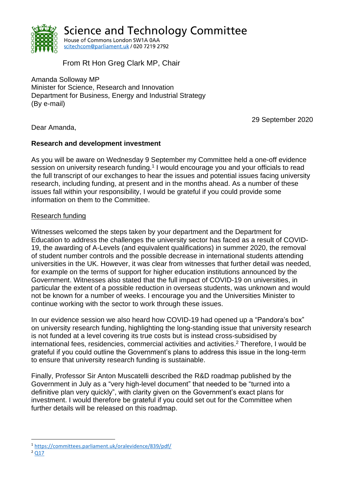

**Science and Technology Committee** House of Commons London SW1A 0AA scitechcom@parliament.uk / 020 7219 2792

From Rt Hon Greg Clark MP, Chair

Amanda Solloway MP Minister for Science, Research and Innovation Department for Business, Energy and Industrial Strategy (By e-mail)

29 September 2020

Dear Amanda,

#### **Research and development investment**

As you will be aware on Wednesday 9 September my Committee held a one-off evidence session on university research funding.<sup>1</sup> I would encourage you and your officials to read the full transcript of our exchanges to hear the issues and potential issues facing university research, including funding, at present and in the months ahead. As a number of these issues fall within your responsibility, I would be grateful if you could provide some information on them to the Committee.

## Research funding

Witnesses welcomed the steps taken by your department and the Department for Education to address the challenges the university sector has faced as a result of COVID-19, the awarding of A-Levels (and equivalent qualifications) in summer 2020, the removal of student number controls and the possible decrease in international students attending universities in the UK. However, it was clear from witnesses that further detail was needed, for example on the terms of support for higher education institutions announced by the Government. Witnesses also stated that the full impact of COVID-19 on universities, in particular the extent of a possible reduction in overseas students, was unknown and would not be known for a number of weeks. I encourage you and the Universities Minister to continue working with the sector to work through these issues.

In our evidence session we also heard how COVID-19 had opened up a "Pandora's box" on university research funding, highlighting the long-standing issue that university research is not funded at a level covering its true costs but is instead cross-subsidised by international fees, residencies, commercial activities and activities. <sup>2</sup> Therefore, I would be grateful if you could outline the Government's plans to address this issue in the long-term to ensure that university research funding is sustainable.

Finally, Professor Sir Anton Muscatelli described the R&D roadmap published by the Government in July as a "very high-level document" that needed to be "turned into a definitive plan very quickly", with clarity given on the Government's exact plans for investment. I would therefore be grateful if you could set out for the Committee when further details will be released on this roadmap.

<sup>1</sup> <https://committees.parliament.uk/oralevidence/839/pdf/>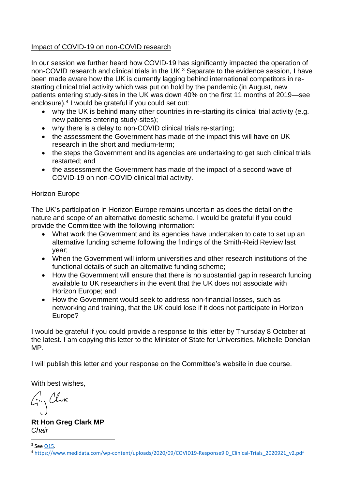# Impact of COVID-19 on non-COVID research

In our session we further heard how COVID-19 has significantly impacted the operation of non-COVID research and clinical trials in the UK.<sup>3</sup> Separate to the evidence session, I have been made aware how the UK is currently lagging behind international competitors in restarting clinical trial activity which was put on hold by the pandemic (in August, new patients entering study-sites in the UK was down 40% on the first 11 months of 2019—see enclosure).<sup>4</sup> I would be grateful if you could set out:

- why the UK is behind many other countries in re-starting its clinical trial activity (e.g. new patients entering study-sites);
- why there is a delay to non-COVID clinical trials re-starting;
- the assessment the Government has made of the impact this will have on UK research in the short and medium-term;
- the steps the Government and its agencies are undertaking to get such clinical trials restarted; and
- the assessment the Government has made of the impact of a second wave of COVID-19 on non-COVID clinical trial activity.

## Horizon Europe

The UK's participation in Horizon Europe remains uncertain as does the detail on the nature and scope of an alternative domestic scheme. I would be grateful if you could provide the Committee with the following information:

- What work the Government and its agencies have undertaken to date to set up an alternative funding scheme following the findings of the Smith-Reid Review last year;
- When the Government will inform universities and other research institutions of the functional details of such an alternative funding scheme;
- How the Government will ensure that there is no substantial gap in research funding available to UK researchers in the event that the UK does not associate with Horizon Europe; and
- How the Government would seek to address non-financial losses, such as networking and training, that the UK could lose if it does not participate in Horizon Europe?

I would be grateful if you could provide a response to this letter by Thursday 8 October at the latest. I am copying this letter to the Minister of State for Universities, Michelle Donelan MP.

I will publish this letter and your response on the Committee's website in due course.

With best wishes,

 $G_{\gamma}$ Clur

**Rt Hon Greg Clark MP** *Chair*

<sup>&</sup>lt;sup>3</sup> See <u>Q15</u>.

<sup>4</sup> [https://www.medidata.com/wp-content/uploads/2020/09/COVID19-Response9.0\\_Clinical-Trials\\_2020921\\_v2.pdf](https://www.medidata.com/wp-content/uploads/2020/09/COVID19-Response9.0_Clinical-Trials_2020921_v2.pdf)